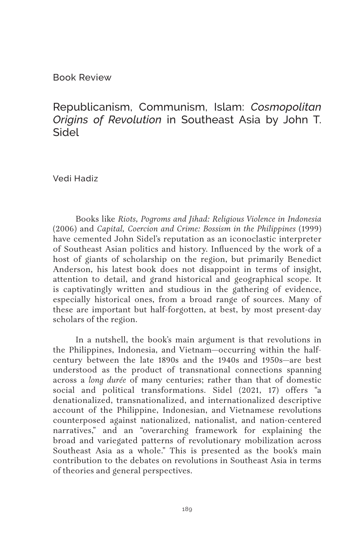Book Review

## Republicanism, Communism, Islam: *Cosmopolitan Origins of Revolution* in Southeast Asia by John T. Sidel

Vedi Hadiz

Books like *Riots, Pogroms and Jihad: Religious Violence in Indonesia* (2006) and *Capital, Coercion and Crime: Bossism in the Philippines* (1999) have cemented John Sidel's reputation as an iconoclastic interpreter of Southeast Asian politics and history. Influenced by the work of a host of giants of scholarship on the region, but primarily Benedict Anderson, his latest book does not disappoint in terms of insight, attention to detail, and grand historical and geographical scope. It is captivatingly written and studious in the gathering of evidence, especially historical ones, from a broad range of sources. Many of these are important but half-forgotten, at best, by most present-day scholars of the region.

In a nutshell, the book's main argument is that revolutions in the Philippines, Indonesia, and Vietnam—occurring within the halfcentury between the late 1890s and the 1940s and 1950s—are best understood as the product of transnational connections spanning across a *long durée* of many centuries; rather than that of domestic social and political transformations. Sidel (2021, 17) offers "a denationalized, transnationalized, and internationalized descriptive account of the Philippine, Indonesian, and Vietnamese revolutions counterposed against nationalized, nationalist, and nation-centered narratives," and an "overarching framework for explaining the broad and variegated patterns of revolutionary mobilization across Southeast Asia as a whole." This is presented as the book's main contribution to the debates on revolutions in Southeast Asia in terms of theories and general perspectives.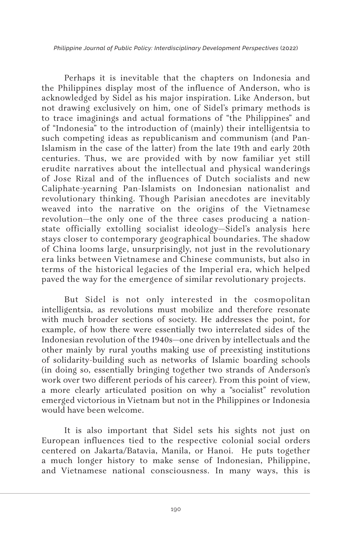*Philippine Journal of Public Policy: Interdisciplinary Development Perspectives* (2022)

Perhaps it is inevitable that the chapters on Indonesia and the Philippines display most of the influence of Anderson, who is acknowledged by Sidel as his major inspiration. Like Anderson, but not drawing exclusively on him, one of Sidel's primary methods is to trace imaginings and actual formations of "the Philippines" and of "Indonesia" to the introduction of (mainly) their intelligentsia to such competing ideas as republicanism and communism (and Pan-Islamism in the case of the latter) from the late 19th and early 20th centuries. Thus, we are provided with by now familiar yet still erudite narratives about the intellectual and physical wanderings of Jose Rizal and of the influences of Dutch socialists and new Caliphate-yearning Pan-Islamists on Indonesian nationalist and revolutionary thinking. Though Parisian anecdotes are inevitably weaved into the narrative on the origins of the Vietnamese revolution—the only one of the three cases producing a nationstate officially extolling socialist ideology—Sidel's analysis here stays closer to contemporary geographical boundaries. The shadow of China looms large, unsurprisingly, not just in the revolutionary era links between Vietnamese and Chinese communists, but also in terms of the historical legacies of the Imperial era, which helped paved the way for the emergence of similar revolutionary projects.

But Sidel is not only interested in the cosmopolitan intelligentsia, as revolutions must mobilize and therefore resonate with much broader sections of society. He addresses the point, for example, of how there were essentially two interrelated sides of the Indonesian revolution of the 1940s—one driven by intellectuals and the other mainly by rural youths making use of preexisting institutions of solidarity-building such as networks of Islamic boarding schools (in doing so, essentially bringing together two strands of Anderson's work over two different periods of his career). From this point of view, a more clearly articulated position on why a "socialist" revolution emerged victorious in Vietnam but not in the Philippines or Indonesia would have been welcome.

It is also important that Sidel sets his sights not just on European influences tied to the respective colonial social orders centered on Jakarta/Batavia, Manila, or Hanoi. He puts together a much longer history to make sense of Indonesian, Philippine, and Vietnamese national consciousness. In many ways, this is